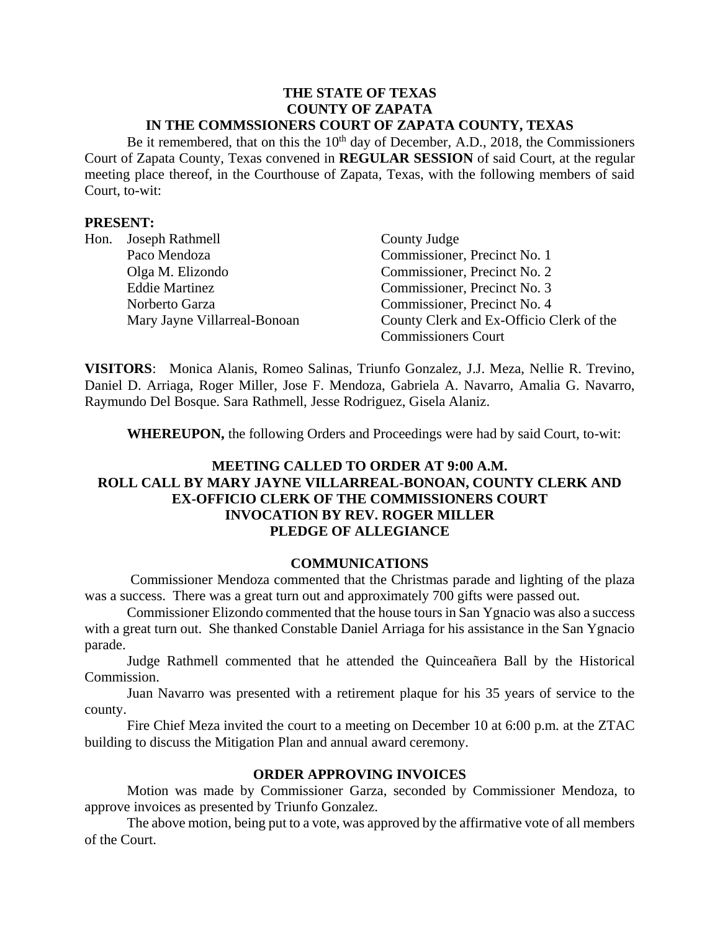#### **THE STATE OF TEXAS COUNTY OF ZAPATA IN THE COMMSSIONERS COURT OF ZAPATA COUNTY, TEXAS**

Be it remembered, that on this the 10<sup>th</sup> day of December, A.D., 2018, the Commissioners Court of Zapata County, Texas convened in **REGULAR SESSION** of said Court, at the regular meeting place thereof, in the Courthouse of Zapata, Texas, with the following members of said Court, to-wit:

### **PRESENT:**

| Hon. | Joseph Rathmell              | County Judge                             |
|------|------------------------------|------------------------------------------|
|      | Paco Mendoza                 | Commissioner, Precinct No. 1             |
|      | Olga M. Elizondo             | Commissioner, Precinct No. 2             |
|      | <b>Eddie Martinez</b>        | Commissioner, Precinct No. 3             |
|      | Norberto Garza               | Commissioner, Precinct No. 4             |
|      | Mary Jayne Villarreal-Bonoan | County Clerk and Ex-Officio Clerk of the |
|      |                              | <b>Commissioners Court</b>               |

**VISITORS**: Monica Alanis, Romeo Salinas, Triunfo Gonzalez, J.J. Meza, Nellie R. Trevino, Daniel D. Arriaga, Roger Miller, Jose F. Mendoza, Gabriela A. Navarro, Amalia G. Navarro, Raymundo Del Bosque. Sara Rathmell, Jesse Rodriguez, Gisela Alaniz.

**WHEREUPON,** the following Orders and Proceedings were had by said Court, to-wit:

## **MEETING CALLED TO ORDER AT 9:00 A.M. ROLL CALL BY MARY JAYNE VILLARREAL-BONOAN, COUNTY CLERK AND EX-OFFICIO CLERK OF THE COMMISSIONERS COURT INVOCATION BY REV. ROGER MILLER PLEDGE OF ALLEGIANCE**

#### **COMMUNICATIONS**

Commissioner Mendoza commented that the Christmas parade and lighting of the plaza was a success. There was a great turn out and approximately 700 gifts were passed out.

Commissioner Elizondo commented that the house tours in San Ygnacio was also a success with a great turn out. She thanked Constable Daniel Arriaga for his assistance in the San Ygnacio parade.

Judge Rathmell commented that he attended the Quinceañera Ball by the Historical Commission.

Juan Navarro was presented with a retirement plaque for his 35 years of service to the county.

Fire Chief Meza invited the court to a meeting on December 10 at 6:00 p.m. at the ZTAC building to discuss the Mitigation Plan and annual award ceremony.

### **ORDER APPROVING INVOICES**

Motion was made by Commissioner Garza, seconded by Commissioner Mendoza, to approve invoices as presented by Triunfo Gonzalez.

The above motion, being put to a vote, was approved by the affirmative vote of all members of the Court.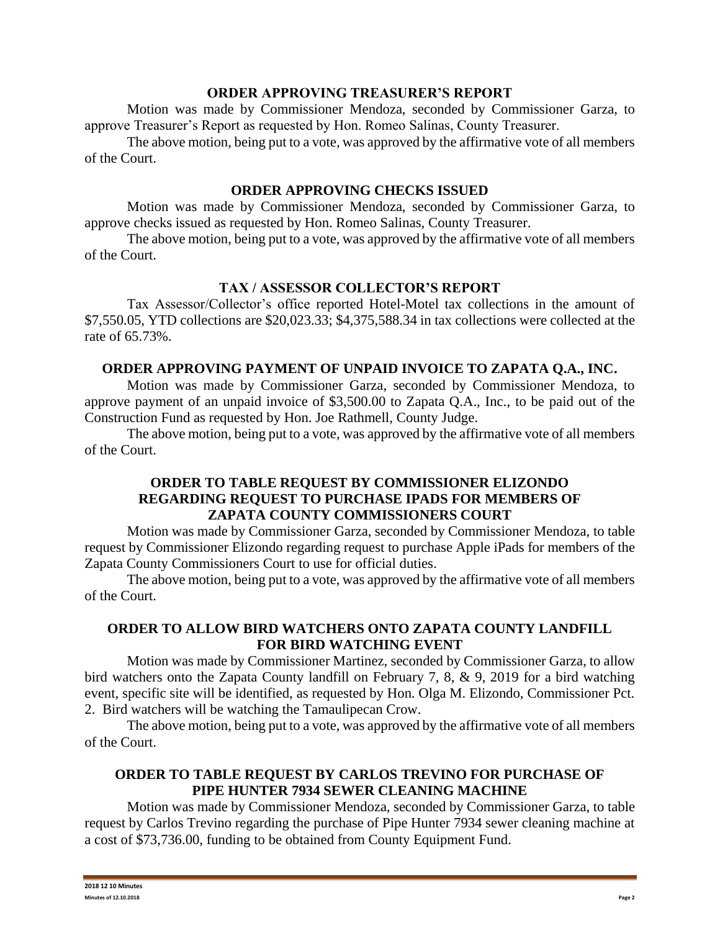### **ORDER APPROVING TREASURER'S REPORT**

Motion was made by Commissioner Mendoza, seconded by Commissioner Garza, to approve Treasurer's Report as requested by Hon. Romeo Salinas, County Treasurer.

The above motion, being put to a vote, was approved by the affirmative vote of all members of the Court.

### **ORDER APPROVING CHECKS ISSUED**

Motion was made by Commissioner Mendoza, seconded by Commissioner Garza, to approve checks issued as requested by Hon. Romeo Salinas, County Treasurer.

The above motion, being put to a vote, was approved by the affirmative vote of all members of the Court.

## **TAX / ASSESSOR COLLECTOR'S REPORT**

Tax Assessor/Collector's office reported Hotel-Motel tax collections in the amount of \$7,550.05, YTD collections are \$20,023.33; \$4,375,588.34 in tax collections were collected at the rate of 65.73%.

## **ORDER APPROVING PAYMENT OF UNPAID INVOICE TO ZAPATA Q.A., INC.**

Motion was made by Commissioner Garza, seconded by Commissioner Mendoza, to approve payment of an unpaid invoice of \$3,500.00 to Zapata Q.A., Inc., to be paid out of the Construction Fund as requested by Hon. Joe Rathmell, County Judge.

The above motion, being put to a vote, was approved by the affirmative vote of all members of the Court.

## **ORDER TO TABLE REQUEST BY COMMISSIONER ELIZONDO REGARDING REQUEST TO PURCHASE IPADS FOR MEMBERS OF ZAPATA COUNTY COMMISSIONERS COURT**

Motion was made by Commissioner Garza, seconded by Commissioner Mendoza, to table request by Commissioner Elizondo regarding request to purchase Apple iPads for members of the Zapata County Commissioners Court to use for official duties.

The above motion, being put to a vote, was approved by the affirmative vote of all members of the Court.

## **ORDER TO ALLOW BIRD WATCHERS ONTO ZAPATA COUNTY LANDFILL FOR BIRD WATCHING EVENT**

Motion was made by Commissioner Martinez, seconded by Commissioner Garza, to allow bird watchers onto the Zapata County landfill on February 7, 8, & 9, 2019 for a bird watching event, specific site will be identified, as requested by Hon. Olga M. Elizondo, Commissioner Pct. 2. Bird watchers will be watching the Tamaulipecan Crow.

The above motion, being put to a vote, was approved by the affirmative vote of all members of the Court.

## **ORDER TO TABLE REQUEST BY CARLOS TREVINO FOR PURCHASE OF PIPE HUNTER 7934 SEWER CLEANING MACHINE**

Motion was made by Commissioner Mendoza, seconded by Commissioner Garza, to table request by Carlos Trevino regarding the purchase of Pipe Hunter 7934 sewer cleaning machine at a cost of \$73,736.00, funding to be obtained from County Equipment Fund.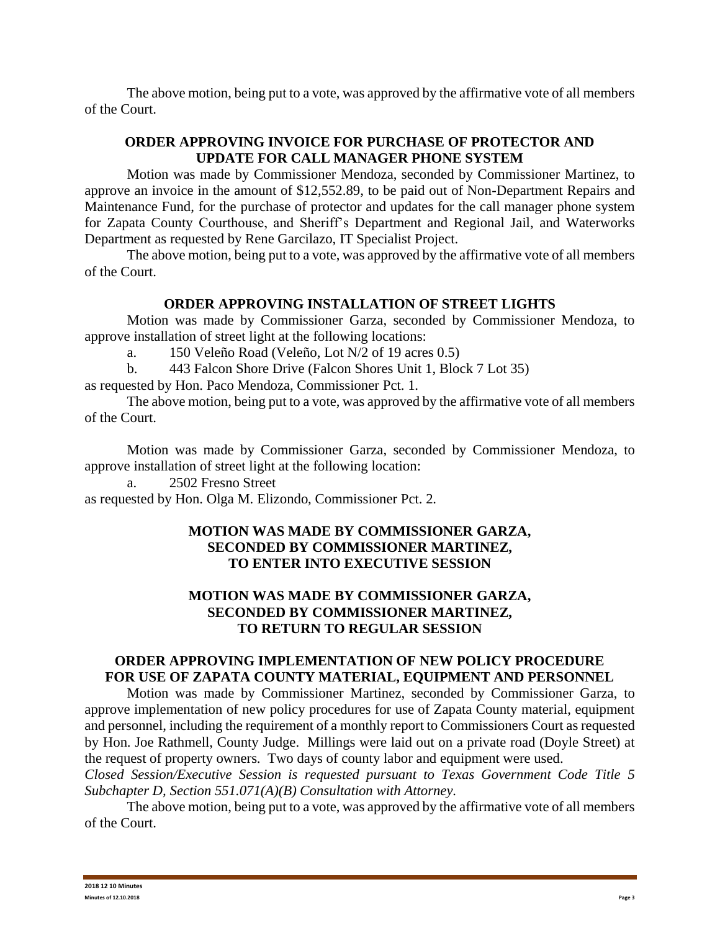The above motion, being put to a vote, was approved by the affirmative vote of all members of the Court.

# **ORDER APPROVING INVOICE FOR PURCHASE OF PROTECTOR AND UPDATE FOR CALL MANAGER PHONE SYSTEM**

Motion was made by Commissioner Mendoza, seconded by Commissioner Martinez, to approve an invoice in the amount of \$12,552.89, to be paid out of Non-Department Repairs and Maintenance Fund, for the purchase of protector and updates for the call manager phone system for Zapata County Courthouse, and Sheriff's Department and Regional Jail, and Waterworks Department as requested by Rene Garcilazo, IT Specialist Project.

The above motion, being put to a vote, was approved by the affirmative vote of all members of the Court.

## **ORDER APPROVING INSTALLATION OF STREET LIGHTS**

Motion was made by Commissioner Garza, seconded by Commissioner Mendoza, to approve installation of street light at the following locations:

a. 150 Veleño Road (Veleño, Lot N/2 of 19 acres 0.5)

b. 443 Falcon Shore Drive (Falcon Shores Unit 1, Block 7 Lot 35)

as requested by Hon. Paco Mendoza, Commissioner Pct. 1.

The above motion, being put to a vote, was approved by the affirmative vote of all members of the Court.

Motion was made by Commissioner Garza, seconded by Commissioner Mendoza, to approve installation of street light at the following location:

a. 2502 Fresno Street

as requested by Hon. Olga M. Elizondo, Commissioner Pct. 2.

## **MOTION WAS MADE BY COMMISSIONER GARZA, SECONDED BY COMMISSIONER MARTINEZ, TO ENTER INTO EXECUTIVE SESSION**

# **MOTION WAS MADE BY COMMISSIONER GARZA, SECONDED BY COMMISSIONER MARTINEZ, TO RETURN TO REGULAR SESSION**

### **ORDER APPROVING IMPLEMENTATION OF NEW POLICY PROCEDURE FOR USE OF ZAPATA COUNTY MATERIAL, EQUIPMENT AND PERSONNEL**

Motion was made by Commissioner Martinez, seconded by Commissioner Garza, to approve implementation of new policy procedures for use of Zapata County material, equipment and personnel, including the requirement of a monthly report to Commissioners Court as requested by Hon. Joe Rathmell, County Judge. Millings were laid out on a private road (Doyle Street) at the request of property owners. Two days of county labor and equipment were used.

*Closed Session/Executive Session is requested pursuant to Texas Government Code Title 5 Subchapter D, Section 551.071(A)(B) Consultation with Attorney.*

The above motion, being put to a vote, was approved by the affirmative vote of all members of the Court.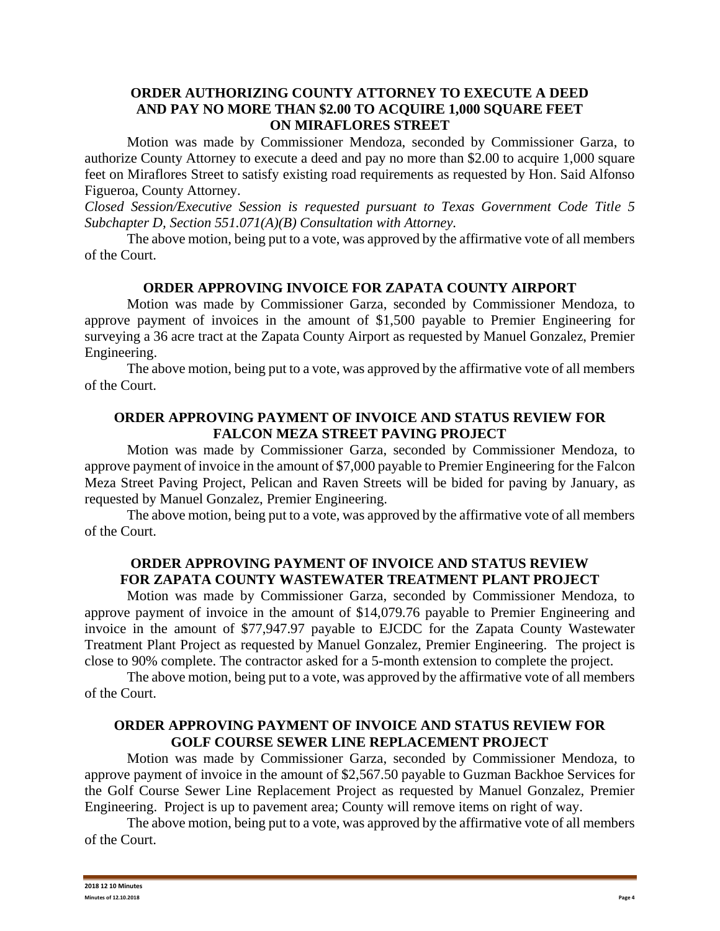### **ORDER AUTHORIZING COUNTY ATTORNEY TO EXECUTE A DEED AND PAY NO MORE THAN \$2.00 TO ACQUIRE 1,000 SQUARE FEET ON MIRAFLORES STREET**

Motion was made by Commissioner Mendoza, seconded by Commissioner Garza, to authorize County Attorney to execute a deed and pay no more than \$2.00 to acquire 1,000 square feet on Miraflores Street to satisfy existing road requirements as requested by Hon. Said Alfonso Figueroa, County Attorney.

*Closed Session/Executive Session is requested pursuant to Texas Government Code Title 5 Subchapter D, Section 551.071(A)(B) Consultation with Attorney.*

The above motion, being put to a vote, was approved by the affirmative vote of all members of the Court.

## **ORDER APPROVING INVOICE FOR ZAPATA COUNTY AIRPORT**

Motion was made by Commissioner Garza, seconded by Commissioner Mendoza, to approve payment of invoices in the amount of \$1,500 payable to Premier Engineering for surveying a 36 acre tract at the Zapata County Airport as requested by Manuel Gonzalez, Premier Engineering.

The above motion, being put to a vote, was approved by the affirmative vote of all members of the Court.

### **ORDER APPROVING PAYMENT OF INVOICE AND STATUS REVIEW FOR FALCON MEZA STREET PAVING PROJECT**

Motion was made by Commissioner Garza, seconded by Commissioner Mendoza, to approve payment of invoice in the amount of \$7,000 payable to Premier Engineering for the Falcon Meza Street Paving Project, Pelican and Raven Streets will be bided for paving by January, as requested by Manuel Gonzalez, Premier Engineering.

The above motion, being put to a vote, was approved by the affirmative vote of all members of the Court.

## **ORDER APPROVING PAYMENT OF INVOICE AND STATUS REVIEW FOR ZAPATA COUNTY WASTEWATER TREATMENT PLANT PROJECT**

Motion was made by Commissioner Garza, seconded by Commissioner Mendoza, to approve payment of invoice in the amount of \$14,079.76 payable to Premier Engineering and invoice in the amount of \$77,947.97 payable to EJCDC for the Zapata County Wastewater Treatment Plant Project as requested by Manuel Gonzalez, Premier Engineering. The project is close to 90% complete. The contractor asked for a 5-month extension to complete the project.

The above motion, being put to a vote, was approved by the affirmative vote of all members of the Court.

### **ORDER APPROVING PAYMENT OF INVOICE AND STATUS REVIEW FOR GOLF COURSE SEWER LINE REPLACEMENT PROJECT**

Motion was made by Commissioner Garza, seconded by Commissioner Mendoza, to approve payment of invoice in the amount of \$2,567.50 payable to Guzman Backhoe Services for the Golf Course Sewer Line Replacement Project as requested by Manuel Gonzalez, Premier Engineering. Project is up to pavement area; County will remove items on right of way.

The above motion, being put to a vote, was approved by the affirmative vote of all members of the Court.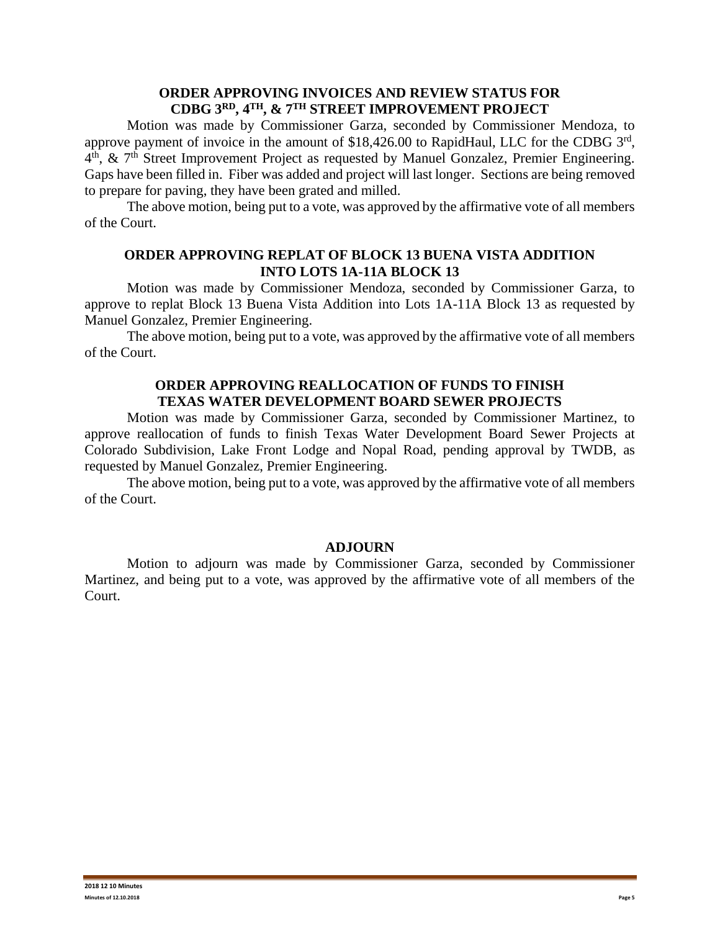### **ORDER APPROVING INVOICES AND REVIEW STATUS FOR CDBG 3RD, 4TH, & 7TH STREET IMPROVEMENT PROJECT**

Motion was made by Commissioner Garza, seconded by Commissioner Mendoza, to approve payment of invoice in the amount of \$18,426.00 to RapidHaul, LLC for the CDBG 3rd, 4<sup>th</sup>, & 7<sup>th</sup> Street Improvement Project as requested by Manuel Gonzalez, Premier Engineering. Gaps have been filled in. Fiber was added and project will last longer. Sections are being removed to prepare for paving, they have been grated and milled.

The above motion, being put to a vote, was approved by the affirmative vote of all members of the Court.

### **ORDER APPROVING REPLAT OF BLOCK 13 BUENA VISTA ADDITION INTO LOTS 1A-11A BLOCK 13**

Motion was made by Commissioner Mendoza, seconded by Commissioner Garza, to approve to replat Block 13 Buena Vista Addition into Lots 1A-11A Block 13 as requested by Manuel Gonzalez, Premier Engineering.

The above motion, being put to a vote, was approved by the affirmative vote of all members of the Court.

### **ORDER APPROVING REALLOCATION OF FUNDS TO FINISH TEXAS WATER DEVELOPMENT BOARD SEWER PROJECTS**

Motion was made by Commissioner Garza, seconded by Commissioner Martinez, to approve reallocation of funds to finish Texas Water Development Board Sewer Projects at Colorado Subdivision, Lake Front Lodge and Nopal Road, pending approval by TWDB, as requested by Manuel Gonzalez, Premier Engineering.

The above motion, being put to a vote, was approved by the affirmative vote of all members of the Court.

#### **ADJOURN**

Motion to adjourn was made by Commissioner Garza, seconded by Commissioner Martinez, and being put to a vote, was approved by the affirmative vote of all members of the Court.